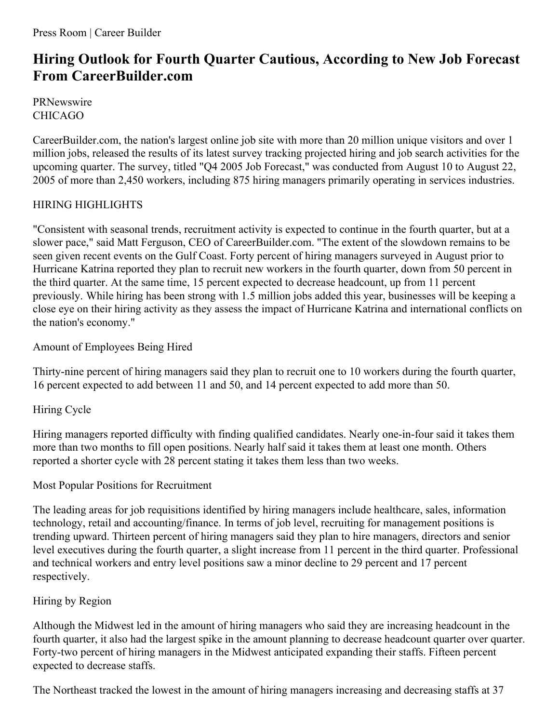# **Hiring Outlook for Fourth Quarter Cautious, According to New Job Forecast From CareerBuilder.com**

**PRNewswire** CHICAGO

CareerBuilder.com, the nation's largest online job site with more than 20 million unique visitors and over 1 million jobs, released the results of its latest survey tracking projected hiring and job search activities for the upcoming quarter. The survey, titled "Q4 2005 Job Forecast," was conducted from August 10 to August 22, 2005 of more than 2,450 workers, including 875 hiring managers primarily operating in services industries.

## HIRING HIGHLIGHTS

"Consistent with seasonal trends, recruitment activity is expected to continue in the fourth quarter, but at a slower pace," said Matt Ferguson, CEO of CareerBuilder.com. "The extent of the slowdown remains to be seen given recent events on the Gulf Coast. Forty percent of hiring managers surveyed in August prior to Hurricane Katrina reported they plan to recruit new workers in the fourth quarter, down from 50 percent in the third quarter. At the same time, 15 percent expected to decrease headcount, up from 11 percent previously. While hiring has been strong with 1.5 million jobs added this year, businesses will be keeping a close eye on their hiring activity as they assess the impact of Hurricane Katrina and international conflicts on the nation's economy."

Amount of Employees Being Hired

Thirty-nine percent of hiring managers said they plan to recruit one to 10 workers during the fourth quarter, 16 percent expected to add between 11 and 50, and 14 percent expected to add more than 50.

Hiring Cycle

Hiring managers reported difficulty with finding qualified candidates. Nearly one-in-four said it takes them more than two months to fill open positions. Nearly half said it takes them at least one month. Others reported a shorter cycle with 28 percent stating it takes them less than two weeks.

## Most Popular Positions for Recruitment

The leading areas for job requisitions identified by hiring managers include healthcare, sales, information technology, retail and accounting/finance. In terms of job level, recruiting for management positions is trending upward. Thirteen percent of hiring managers said they plan to hire managers, directors and senior level executives during the fourth quarter, a slight increase from 11 percent in the third quarter. Professional and technical workers and entry level positions saw a minor decline to 29 percent and 17 percent respectively.

## Hiring by Region

Although the Midwest led in the amount of hiring managers who said they are increasing headcount in the fourth quarter, it also had the largest spike in the amount planning to decrease headcount quarter over quarter. Forty-two percent of hiring managers in the Midwest anticipated expanding their staffs. Fifteen percent expected to decrease staffs.

The Northeast tracked the lowest in the amount of hiring managers increasing and decreasing staffs at 37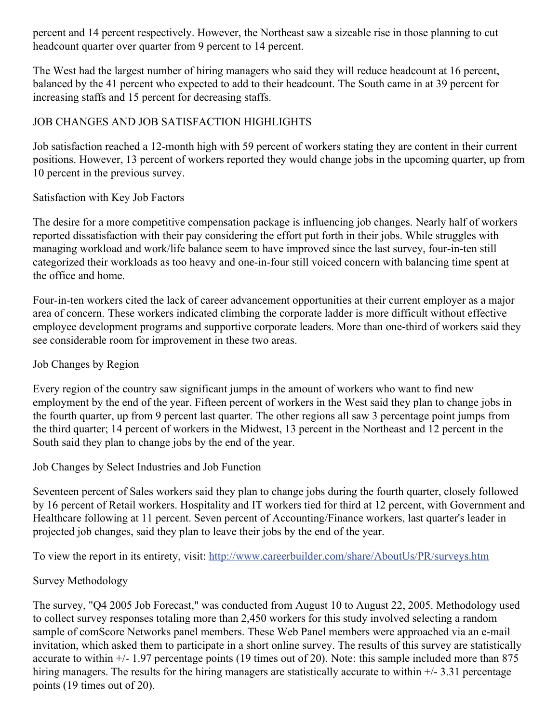percent and 14 percent respectively. However, the Northeast saw a sizeable rise in those planning to cut headcount quarter over quarter from 9 percent to 14 percent.

The West had the largest number of hiring managers who said they will reduce headcount at 16 percent, balanced by the 41 percent who expected to add to their headcount. The South came in at 39 percent for increasing staffs and 15 percent for decreasing staffs.

### JOB CHANGES AND JOB SATISFACTION HIGHLIGHTS

Job satisfaction reached a 12-month high with 59 percent of workers stating they are content in their current positions. However, 13 percent of workers reported they would change jobs in the upcoming quarter, up from 10 percent in the previous survey.

#### Satisfaction with Key Job Factors

The desire for a more competitive compensation package is influencing job changes. Nearly half of workers reported dissatisfaction with their pay considering the effort put forth in their jobs. While struggles with managing workload and work/life balance seem to have improved since the last survey, four-in-ten still categorized their workloads as too heavy and one-in-four still voiced concern with balancing time spent at the office and home.

Four-in-ten workers cited the lack of career advancement opportunities at their current employer as a major area of concern. These workers indicated climbing the corporate ladder is more difficult without effective employee development programs and supportive corporate leaders. More than one-third of workers said they see considerable room for improvement in these two areas.

#### Job Changes by Region

Every region of the country saw significant jumps in the amount of workers who want to find new employment by the end of the year. Fifteen percent of workers in the West said they plan to change jobs in the fourth quarter, up from 9 percent last quarter. The other regions all saw 3 percentage point jumps from the third quarter; 14 percent of workers in the Midwest, 13 percent in the Northeast and 12 percent in the South said they plan to change jobs by the end of the year.

#### Job Changes by Select Industries and Job Function

Seventeen percent of Sales workers said they plan to change jobs during the fourth quarter, closely followed by 16 percent of Retail workers. Hospitality and IT workers tied for third at 12 percent, with Government and Healthcare following at 11 percent. Seven percent of Accounting/Finance workers, last quarter's leader in projected job changes, said they plan to leave their jobs by the end of the year.

To view the report in its entirety, visit: <http://www.careerbuilder.com/share/AboutUs/PR/surveys.htm>

#### Survey Methodology

The survey, "Q4 2005 Job Forecast," was conducted from August 10 to August 22, 2005. Methodology used to collect survey responses totaling more than 2,450 workers for this study involved selecting a random sample of comScore Networks panel members. These Web Panel members were approached via an e-mail invitation, which asked them to participate in a short online survey. The results of this survey are statistically accurate to within +/- 1.97 percentage points (19 times out of 20). Note: this sample included more than 875 hiring managers. The results for the hiring managers are statistically accurate to within  $+/- 3.31$  percentage points (19 times out of 20).